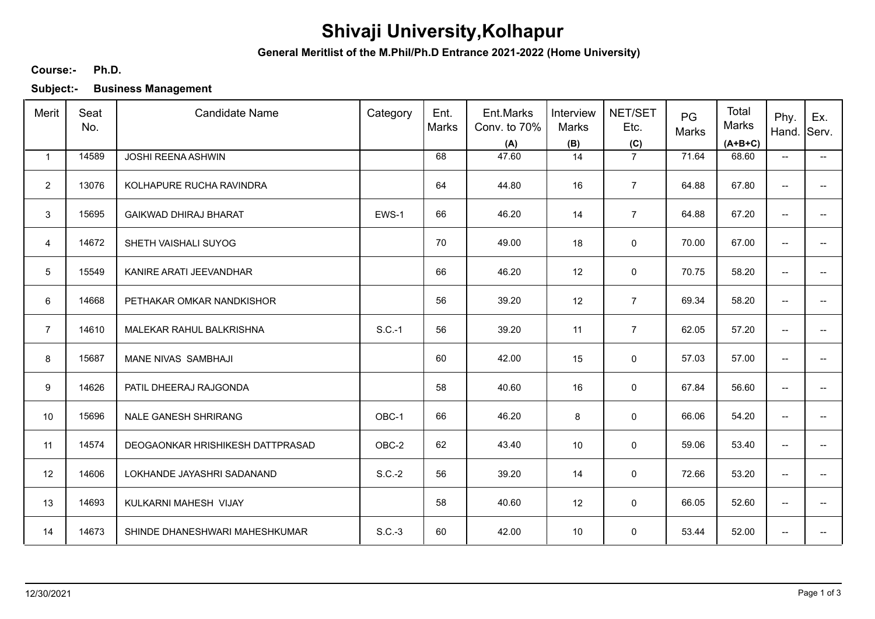# **Shivaji University,Kolhapur**

**General Meritlist of the M.Phil/Ph.D Entrance 2021-2022 (Home University)**

### **Ph.D. Course:-**

**Subject:- Business Management**

| Merit          | Seat<br>No. | <b>Candidate Name</b>            | Category | Ent.<br>Marks | Ent.Marks<br>Conv. to 70%<br>(A) | Interview<br>Marks<br>(B) | NET/SET<br>Etc.<br>(C) | PG<br>Marks | Total<br>Marks<br>$(A+B+C)$ | Phy.<br>Hand.                       | Ex.<br>Serv.             |
|----------------|-------------|----------------------------------|----------|---------------|----------------------------------|---------------------------|------------------------|-------------|-----------------------------|-------------------------------------|--------------------------|
| $\mathbf{1}$   | 14589       | JOSHI REENA ASHWIN               |          | 68            | 47.60                            | 14                        | $\overline{7}$         | 71.64       | 68.60                       | $\overline{\phantom{a}}$            | $\overline{\phantom{a}}$ |
| $\overline{2}$ | 13076       | KOLHAPURE RUCHA RAVINDRA         |          | 64            | 44.80                            | 16                        | $\overline{7}$         | 64.88       | 67.80                       | $\overline{\phantom{a}}$            |                          |
| 3              | 15695       | <b>GAIKWAD DHIRAJ BHARAT</b>     | EWS-1    | 66            | 46.20                            | 14                        | $\overline{7}$         | 64.88       | 67.20                       | $\overline{\phantom{a}}$            | --                       |
| 4              | 14672       | SHETH VAISHALI SUYOG             |          | 70            | 49.00                            | 18                        | 0                      | 70.00       | 67.00                       | $\overline{\phantom{a}}$            |                          |
| 5              | 15549       | KANIRE ARATI JEEVANDHAR          |          | 66            | 46.20                            | 12                        | 0                      | 70.75       | 58.20                       | $\overline{\phantom{a}}$            | $\overline{a}$           |
| 6              | 14668       | PETHAKAR OMKAR NANDKISHOR        |          | 56            | 39.20                            | 12                        | $\overline{7}$         | 69.34       | 58.20                       | $\overline{\phantom{a}}$            | $\overline{a}$           |
| $\overline{7}$ | 14610       | MALEKAR RAHUL BALKRISHNA         | $S.C.-1$ | 56            | 39.20                            | 11                        | $\overline{7}$         | 62.05       | 57.20                       | $\overline{\phantom{a}}$            | $\overline{a}$           |
| 8              | 15687       | MANE NIVAS SAMBHAJI              |          | 60            | 42.00                            | 15                        | 0                      | 57.03       | 57.00                       | $\overline{\phantom{a}}$            | $-$                      |
| 9              | 14626       | PATIL DHEERAJ RAJGONDA           |          | 58            | 40.60                            | 16                        | $\mathbf 0$            | 67.84       | 56.60                       | $\overline{\phantom{a}}$            |                          |
| 10             | 15696       | NALE GANESH SHRIRANG             | OBC-1    | 66            | 46.20                            | 8                         | $\mathbf 0$            | 66.06       | 54.20                       | $\overline{\phantom{a}}$            | --                       |
| 11             | 14574       | DEOGAONKAR HRISHIKESH DATTPRASAD | OBC-2    | 62            | 43.40                            | 10 <sup>°</sup>           | 0                      | 59.06       | 53.40                       | $\overline{\phantom{a}}$            | --                       |
| 12             | 14606       | LOKHANDE JAYASHRI SADANAND       | $S.C.-2$ | 56            | 39.20                            | 14                        | 0                      | 72.66       | 53.20                       | $\overline{\phantom{a}}$            | $\overline{\phantom{a}}$ |
| 13             | 14693       | KULKARNI MAHESH VIJAY            |          | 58            | 40.60                            | 12                        | 0                      | 66.05       | 52.60                       | $\overline{\phantom{a}}$            | $\overline{\phantom{a}}$ |
| 14             | 14673       | SHINDE DHANESHWARI MAHESHKUMAR   | $S.C.-3$ | 60            | 42.00                            | 10 <sup>°</sup>           | 0                      | 53.44       | 52.00                       | $\hspace{0.05cm}$ $\hspace{0.05cm}$ | --                       |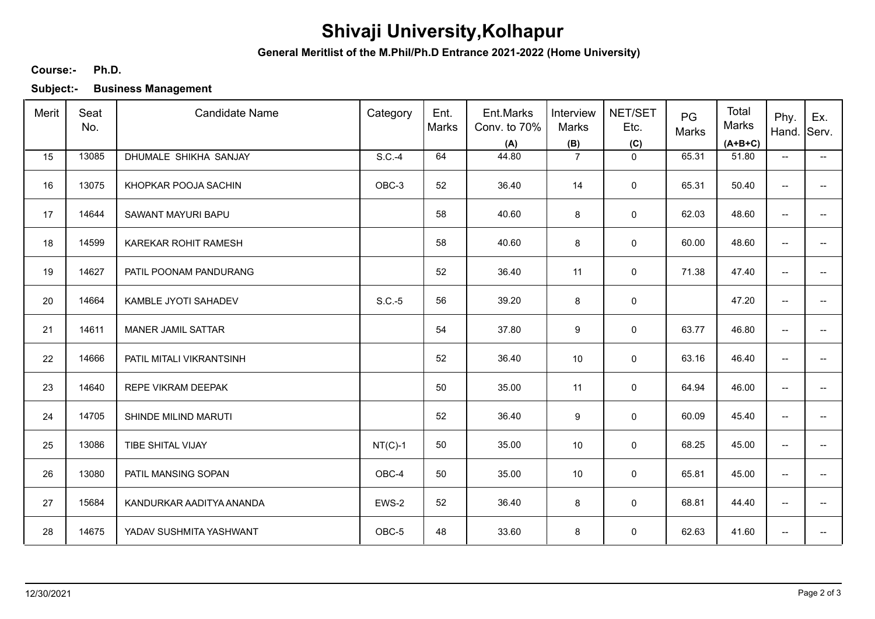# **Shivaji University,Kolhapur**

**General Meritlist of the M.Phil/Ph.D Entrance 2021-2022 (Home University)**

### **Ph.D. Course:-**

**Subject:- Business Management**

| Merit | Seat<br>No. | <b>Candidate Name</b>    | Category  | Ent.<br>Marks | Ent.Marks<br>Conv. to 70%<br>(A) | Interview<br>Marks<br>(B) | NET/SET<br>Etc.<br>(C) | PG<br>Marks | Total<br>Marks<br>$(A+B+C)$ | Phy.<br>Hand.                       | Ex.<br>Serv.             |
|-------|-------------|--------------------------|-----------|---------------|----------------------------------|---------------------------|------------------------|-------------|-----------------------------|-------------------------------------|--------------------------|
| 15    | 13085       | DHUMALE SHIKHA SANJAY    | $S.C.-4$  | 64            | 44.80                            | $\overline{7}$            | $\mathbf 0$            | 65.31       | 51.80                       | $\overline{\phantom{a}}$            | $\overline{\phantom{a}}$ |
| 16    | 13075       | KHOPKAR POOJA SACHIN     | OBC-3     | 52            | 36.40                            | 14                        | $\mathsf 0$            | 65.31       | 50.40                       | $\overline{\phantom{a}}$            | --                       |
| 17    | 14644       | SAWANT MAYURI BAPU       |           | 58            | 40.60                            | 8                         | $\mathsf 0$            | 62.03       | 48.60                       | $\overline{\phantom{a}}$            | --                       |
| 18    | 14599       | KAREKAR ROHIT RAMESH     |           | 58            | 40.60                            | 8                         | $\mathbf 0$            | 60.00       | 48.60                       | $\overline{\phantom{a}}$            | --                       |
| 19    | 14627       | PATIL POONAM PANDURANG   |           | 52            | 36.40                            | 11                        | $\mathbf 0$            | 71.38       | 47.40                       | $\overline{\phantom{a}}$            | --                       |
| 20    | 14664       | KAMBLE JYOTI SAHADEV     | $S.C.-5$  | 56            | 39.20                            | 8                         | $\mathbf 0$            |             | 47.20                       | $\overline{\phantom{a}}$            | $\overline{\phantom{a}}$ |
| 21    | 14611       | MANER JAMIL SATTAR       |           | 54            | 37.80                            | 9                         | 0                      | 63.77       | 46.80                       | $\overline{\phantom{a}}$            |                          |
| 22    | 14666       | PATIL MITALI VIKRANTSINH |           | 52            | 36.40                            | 10                        | 0                      | 63.16       | 46.40                       | $\overline{\phantom{a}}$            |                          |
| 23    | 14640       | REPE VIKRAM DEEPAK       |           | 50            | 35.00                            | 11                        | 0                      | 64.94       | 46.00                       | ÷                                   |                          |
| 24    | 14705       | SHINDE MILIND MARUTI     |           | 52            | 36.40                            | 9                         | 0                      | 60.09       | 45.40                       | $\overline{\phantom{a}}$            | --                       |
| 25    | 13086       | TIBE SHITAL VIJAY        | $NT(C)-1$ | 50            | 35.00                            | 10                        | $\mathsf 0$            | 68.25       | 45.00                       | $\overline{\phantom{a}}$            | --                       |
| 26    | 13080       | PATIL MANSING SOPAN      | OBC-4     | 50            | 35.00                            | 10                        | 0                      | 65.81       | 45.00                       | $\overline{\phantom{a}}$            | --                       |
| 27    | 15684       | KANDURKAR AADITYA ANANDA | EWS-2     | 52            | 36.40                            | 8                         | $\mathbf 0$            | 68.81       | 44.40                       | $\overline{\phantom{a}}$            | $\overline{\phantom{a}}$ |
| 28    | 14675       | YADAV SUSHMITA YASHWANT  | OBC-5     | 48            | 33.60                            | 8                         | 0                      | 62.63       | 41.60                       | $\hspace{0.05cm}$ $\hspace{0.05cm}$ |                          |